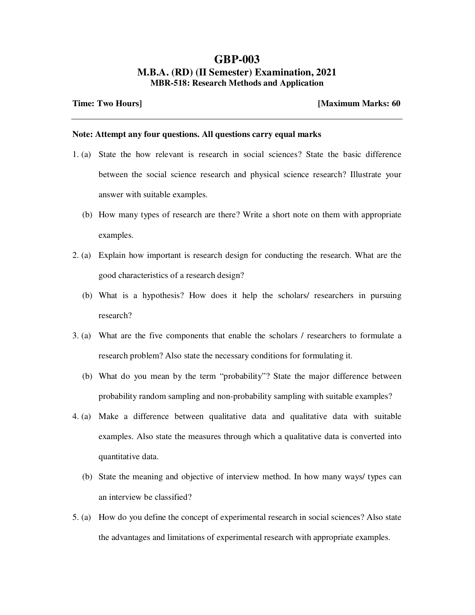## **GBP-003 M.B.A. (RD) (II Semester) Examination, 2021 MBR-518: Research Methods and Application**

**Time: Two Hours] [Maximum Marks: 60** 

## **Note: Attempt any four questions. All questions carry equal marks**

- 1. (a) State the how relevant is research in social sciences? State the basic difference between the social science research and physical science research? Illustrate your answer with suitable examples.
	- (b) How many types of research are there? Write a short note on them with appropriate examples.
- 2. (a) Explain how important is research design for conducting the research. What are the good characteristics of a research design?
	- (b) What is a hypothesis? How does it help the scholars/ researchers in pursuing research?
- 3. (a) What are the five components that enable the scholars / researchers to formulate a research problem? Also state the necessary conditions for formulating it.
	- (b) What do you mean by the term "probability"? State the major difference between probability random sampling and non-probability sampling with suitable examples?
- 4. (a) Make a difference between qualitative data and qualitative data with suitable examples. Also state the measures through which a qualitative data is converted into quantitative data.
	- (b) State the meaning and objective of interview method. In how many ways/ types can an interview be classified?
- 5. (a) How do you define the concept of experimental research in social sciences? Also state the advantages and limitations of experimental research with appropriate examples.